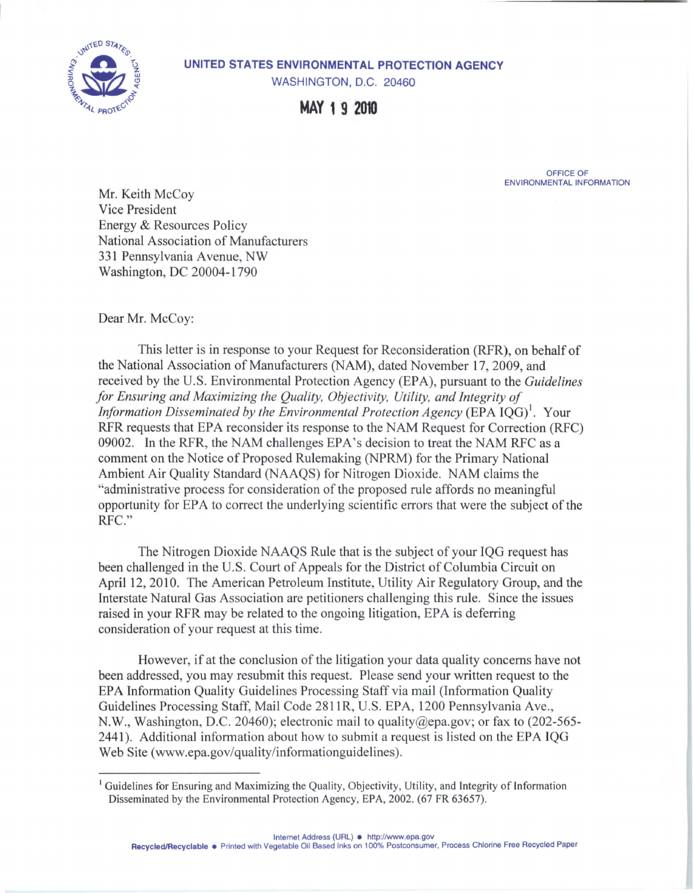

## **UNITED STATES ENVIRONMENTAL PROTECTION AGENCY**

WASHINGTON, D.C. 20460

**MAY 1 9 2010** 

OFFICE OF ENVIRONMENTAL INFORMATION

Mr. Keith McCoy Vice President Energy & Resources Policy National Association of Manufacturers 331 Pennsylvania Avenue, NW Washington, DC 20004-1790

Dear Mr. McCoy:

This letter is in response to your Request for Reconsideration (RFR), on behalf of the National Association of Manufacturers (NAM), dated November 17, 2009, and received by the U.S. Environmental Protection Agency (EPA), pursuant to the *Guidelines for Ensuring and Maximizing the Quality, Objectivity, Utility, and Integrity of Information Disseminated by the Environmental Protection Agency* (EPA IQG)<sup>1</sup>. Your RFR requests that EPA reconsider its response to the NAM Request for Correction (RFC) 09002. In the RFR, the NAM challenges EPA's decision to treat the NAM RFC as a comment on the Notice of Proposed Rulemaking (NPRM) for the Primary National Ambient Air Quality Standard (NAAQS) for Nitrogen Dioxide. NAM claims the "administrative process for consideration of the proposed rule affords no meaningful opportunity for EPA to correct the underlying scientific errors that were the subject of the RFC."

The Nitrogen Dioxide NAAQS Rule that is the subject of your IQG request has been challenged in the U.S. Court of Appeals for the District of Columbia Circuit on April 12, 2010. The American Petroleum Institute, Utility Air Regulatory Group, and the Interstate Natural Gas Association are petitioners challenging this rule. Since the issues raised in your RFR may be related to the ongoing litigation, EPA is deferring consideration of your request at this time.

However, if at the conclusion of the litigation your data quality concerns have not been addressed, you may resubmit this request. Please send your written request to the EPA Information Quality Guidelines Processing Staff via mail (Information Quality Guidelines Processing Staff, Mail Code 281 IR, U.S. EPA, 1200 Pennsylvania Ave., N.W., Washington, D.C. 20460); electronic mail to [quality@epa.gov](mailto:quality@epa.gov); or fax to (202-565- 2441 ). Additional information about how to submit a request is listed on the EPA IQG Web Site (<www.epa.gov/quality/informationguidelines>).

<sup>&</sup>lt;sup>1</sup> Guidelines for Ensuring and Maximizing the Quality, Objectivity, Utility, and Integrity of Information Disseminated by the Environmental Protection Agency, EPA, 2002. (67 FR 63657).